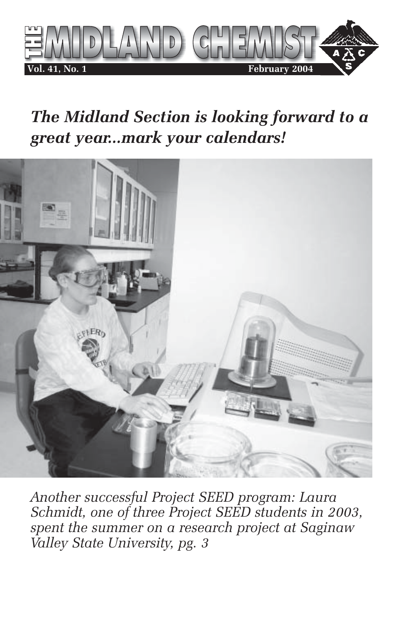

# *The Midland Section is looking forward to a great year...mark your calendars!*



*Another successful Project SEED program: Laura Schmidt, one of three Project SEED students in 2003, spent the summer on a research project at Saginaw Valley State University, pg. 3*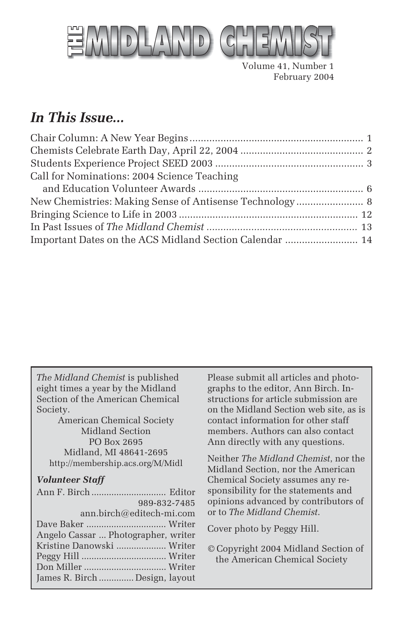

Volume 41, Number 1 February 2004

## *In This Issue...*

| Call for Nominations: 2004 Science Teaching             |  |
|---------------------------------------------------------|--|
|                                                         |  |
|                                                         |  |
|                                                         |  |
|                                                         |  |
| Important Dates on the ACS Midland Section Calendar  14 |  |

*The Midland Chemist* is published eight times a year by the Midland Section of the American Chemical Society.

American Chemical Society Midland Section PO Box 2695 Midland, MI 48641-2695 http://membership.acs.org/M/Midl

#### *Volunteer Staff*

| 989-832-7485                        |  |
|-------------------------------------|--|
| ann.birch@editech-mi.com            |  |
|                                     |  |
| Angelo Cassar  Photographer, writer |  |
| Kristine Danowski  Writer           |  |
|                                     |  |
|                                     |  |
| James R. Birch  Design, layout      |  |

Please submit all articles and photographs to the editor, Ann Birch. Instructions for article submission are on the Midland Section web site, as is contact information for other staff members. Authors can also contact Ann directly with any questions.

Neither *The Midland Chemist*, nor the Midland Section, nor the American Chemical Society assumes any responsibility for the statements and opinions advanced by contributors of or to *The Midland Chemist*.

Cover photo by Peggy Hill.

© Copyright 2004 Midland Section of the American Chemical Society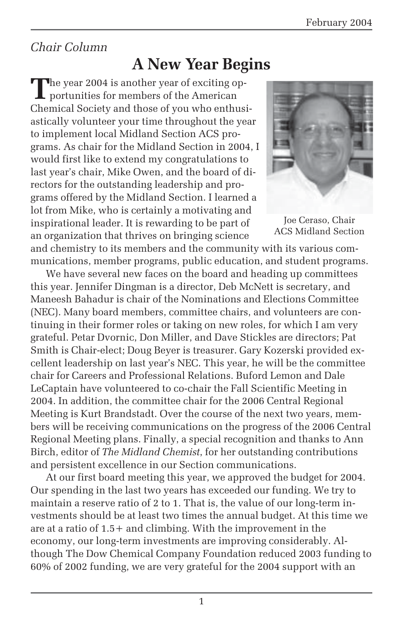## *Chair Column*

# **A New Year Begins**

The year 2004 is another year of exciting opportunities for members of the American Chemical Society and those of you who enthusiastically volunteer your time throughout the year to implement local Midland Section ACS programs. As chair for the Midland Section in 2004, I would first like to extend my congratulations to last year's chair, Mike Owen, and the board of directors for the outstanding leadership and programs offered by the Midland Section. I learned a lot from Mike, who is certainly a motivating and inspirational leader. It is rewarding to be part of an organization that thrives on bringing science



Joe Ceraso, Chair ACS Midland Section

and chemistry to its members and the community with its various communications, member programs, public education, and student programs.

We have several new faces on the board and heading up committees this year. Jennifer Dingman is a director, Deb McNett is secretary, and Maneesh Bahadur is chair of the Nominations and Elections Committee (NEC). Many board members, committee chairs, and volunteers are continuing in their former roles or taking on new roles, for which I am very grateful. Petar Dvornic, Don Miller, and Dave Stickles are directors; Pat Smith is Chair-elect; Doug Beyer is treasurer. Gary Kozerski provided excellent leadership on last year's NEC. This year, he will be the committee chair for Careers and Professional Relations. Buford Lemon and Dale LeCaptain have volunteered to co-chair the Fall Scientific Meeting in 2004. In addition, the committee chair for the 2006 Central Regional Meeting is Kurt Brandstadt. Over the course of the next two years, members will be receiving communications on the progress of the 2006 Central Regional Meeting plans. Finally, a special recognition and thanks to Ann Birch, editor of *The Midland Chemist*, for her outstanding contributions and persistent excellence in our Section communications.

At our first board meeting this year, we approved the budget for 2004. Our spending in the last two years has exceeded our funding. We try to maintain a reserve ratio of 2 to 1. That is, the value of our long-term investments should be at least two times the annual budget. At this time we are at a ratio of 1.5+ and climbing. With the improvement in the economy, our long-term investments are improving considerably. Although The Dow Chemical Company Foundation reduced 2003 funding to 60% of 2002 funding, we are very grateful for the 2004 support with an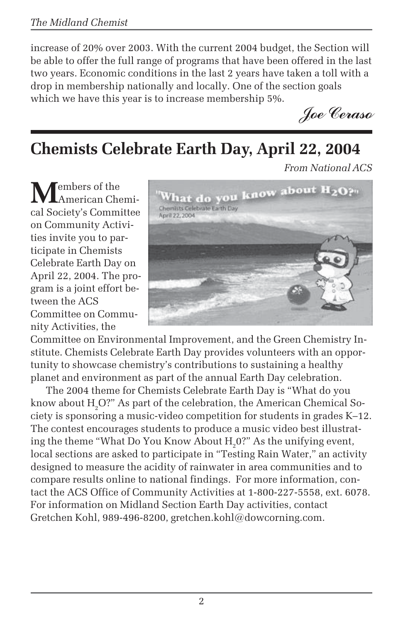increase of 20% over 2003. With the current 2004 budget, the Section will be able to offer the full range of programs that have been offered in the last two years. Economic conditions in the last 2 years have taken a toll with a drop in membership nationally and locally. One of the section goals which we have this year is to increase membership 5%.

*Joe Ceraso*

# **Chemists Celebrate Earth Day, April 22, 2004**

*From National ACS*

**Tembers** of the American Chemical Society's Committee on Community Activities invite you to participate in Chemists Celebrate Earth Day on April 22, 2004. The program is a joint effort between the ACS Committee on Community Activities, the



Committee on Environmental Improvement, and the Green Chemistry Institute. Chemists Celebrate Earth Day provides volunteers with an opportunity to showcase chemistry's contributions to sustaining a healthy planet and environment as part of the annual Earth Day celebration.

The 2004 theme for Chemists Celebrate Earth Day is "What do you know about  $\rm H_2O$ ?" As part of the celebration, the American Chemical Society is sponsoring a music-video competition for students in grades K–12. The contest encourages students to produce a music video best illustrating the theme "What Do You Know About  $\mathrm{H}_2^{\,}$ 0?" As the unifying event, local sections are asked to participate in "Testing Rain Water," an activity designed to measure the acidity of rainwater in area communities and to compare results online to national findings. For more information, contact the ACS Office of Community Activities at 1-800-227-5558, ext. 6078. For information on Midland Section Earth Day activities, contact Gretchen Kohl, 989-496-8200, gretchen.kohl@dowcorning.com.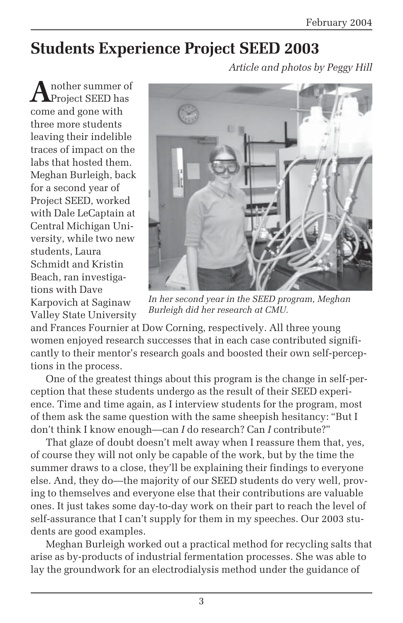# **Students Experience Project SEED 2003**

*Article and photos by Peggy Hill*

**A**nother summer of come and gone with three more students leaving their indelible traces of impact on the labs that hosted them. Meghan Burleigh, back for a second year of Project SEED, worked with Dale LeCaptain at Central Michigan University, while two new students, Laura Schmidt and Kristin Beach, ran investigations with Dave Karpovich at Saginaw Valley State University



*In her second year in the SEED program, Meghan Burleigh did her research at CMU.*

and Frances Fournier at Dow Corning, respectively. All three young women enjoyed research successes that in each case contributed significantly to their mentor's research goals and boosted their own self-perceptions in the process.

One of the greatest things about this program is the change in self-perception that these students undergo as the result of their SEED experience. Time and time again, as I interview students for the program, most of them ask the same question with the same sheepish hesitancy: "But I don't think I know enough—can *I* do research? Can *I* contribute?"

That glaze of doubt doesn't melt away when I reassure them that, yes, of course they will not only be capable of the work, but by the time the summer draws to a close, they'll be explaining their findings to everyone else. And, they do—the majority of our SEED students do very well, proving to themselves and everyone else that their contributions are valuable ones. It just takes some day-to-day work on their part to reach the level of self-assurance that I can't supply for them in my speeches. Our 2003 students are good examples.

Meghan Burleigh worked out a practical method for recycling salts that arise as by-products of industrial fermentation processes. She was able to lay the groundwork for an electrodialysis method under the guidance of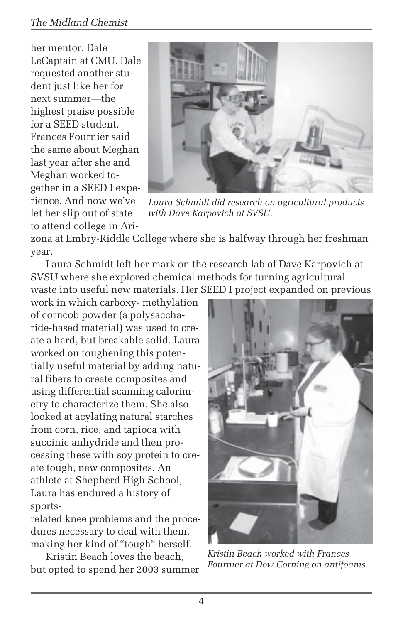## *The Midland Chemist*

her mentor, Dale LeCaptain at CMU. Dale requested another student just like her for next summer—the highest praise possible for a SEED student. Frances Fournier said the same about Meghan last year after she and Meghan worked together in a SEED I experience. And now we've let her slip out of state to attend college in Ari-



*Laura Schmidt did research on agricultural products with Dave Karpovich at SVSU.*

zona at Embry-Riddle College where she is halfway through her freshman year.

Laura Schmidt left her mark on the research lab of Dave Karpovich at SVSU where she explored chemical methods for turning agricultural waste into useful new materials. Her SEED I project expanded on previous

work in which carboxy- methylation of corncob powder (a polysaccharide-based material) was used to create a hard, but breakable solid. Laura worked on toughening this potentially useful material by adding natural fibers to create composites and using differential scanning calorimetry to characterize them. She also looked at acylating natural starches from corn, rice, and tapioca with succinic anhydride and then processing these with soy protein to create tough, new composites. An athlete at Shepherd High School, Laura has endured a history of sports-

related knee problems and the procedures necessary to deal with them, making her kind of "tough" herself.

Kristin Beach loves the beach, but opted to spend her 2003 summer



*Kristin Beach worked with Frances Fournier at Dow Corning on antifoams.*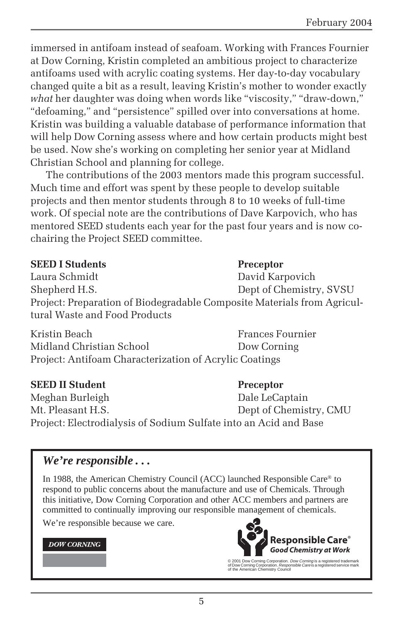immersed in antifoam instead of seafoam. Working with Frances Fournier at Dow Corning, Kristin completed an ambitious project to characterize antifoams used with acrylic coating systems. Her day-to-day vocabulary changed quite a bit as a result, leaving Kristin's mother to wonder exactly *what* her daughter was doing when words like "viscosity," "draw-down," "defoaming," and "persistence" spilled over into conversations at home. Kristin was building a valuable database of performance information that will help Dow Corning assess where and how certain products might best be used. Now she's working on completing her senior year at Midland Christian School and planning for college.

The contributions of the 2003 mentors made this program successful. Much time and effort was spent by these people to develop suitable projects and then mentor students through 8 to 10 weeks of full-time work. Of special note are the contributions of Dave Karpovich, who has mentored SEED students each year for the past four years and is now cochairing the Project SEED committee.

#### **SEED I Students** Preceptor

Laura Schmidt David Karpovich Shepherd H.S. Dept of Chemistry, SVSU Project: Preparation of Biodegradable Composite Materials from Agricultural Waste and Food Products

Kristin Beach Frances Fournier Midland Christian School **Dow Corning** Project: Antifoam Characterization of Acrylic Coatings

#### **SEED II Student Preceptor**

Meghan Burleigh Dale LeCaptain Mt. Pleasant H.S. Dept of Chemistry, CMU Project: Electrodialysis of Sodium Sulfate into an Acid and Base

## *We're responsible . . .*

In 1988, the American Chemistry Council (ACC) launched Responsible Care® to respond to public concerns about the manufacture and use of Chemicals. Through this initiative, Dow Corning Corporation and other ACC members and partners are committed to continually improving our responsible management of chemicals.

We're responsible because we care.

#### **DOW CORNING**



© 2001 Dow Corning Corporation. *Dow Corning* is a registered trademark<br>of Dow Corning Corporation. *Responsible Care* is a registered service mark<br>of the American Chemistry Council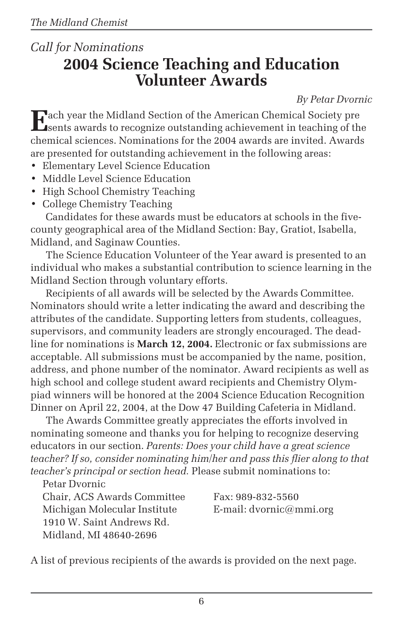## *Call for Nominations* **2004 Science Teaching and Education Volunteer Awards**

*By Petar Dvornic*

**E**ach year the Midland Section of the American Chemical Society pre sents awards to recognize outstanding achievement in teaching of the chemical sciences. Nominations for the 2004 awards are invited. Awards are presented for outstanding achievement in the following areas:

- Elementary Level Science Education
- Middle Level Science Education
- High School Chemistry Teaching
- College Chemistry Teaching

Candidates for these awards must be educators at schools in the fivecounty geographical area of the Midland Section: Bay, Gratiot, Isabella, Midland, and Saginaw Counties.

The Science Education Volunteer of the Year award is presented to an individual who makes a substantial contribution to science learning in the Midland Section through voluntary efforts.

Recipients of all awards will be selected by the Awards Committee. Nominators should write a letter indicating the award and describing the attributes of the candidate. Supporting letters from students, colleagues, supervisors, and community leaders are strongly encouraged. The deadline for nominations is **March 12, 2004.** Electronic or fax submissions are acceptable. All submissions must be accompanied by the name, position, address, and phone number of the nominator. Award recipients as well as high school and college student award recipients and Chemistry Olympiad winners will be honored at the 2004 Science Education Recognition Dinner on April 22, 2004, at the Dow 47 Building Cafeteria in Midland.

The Awards Committee greatly appreciates the efforts involved in nominating someone and thanks you for helping to recognize deserving educators in our section. *Parents: Does your child have a great science teacher? If so, consider nominating him/her and pass this flier along to that teacher's principal or section head.* Please submit nominations to:

Petar Dvornic Chair, ACS Awards Committee Fax: 989-832-5560 Michigan Molecular Institute E-mail:  $d$ vornic $@$ mmi.org 1910 W. Saint Andrews Rd. Midland, MI 48640-2696

A list of previous recipients of the awards is provided on the next page.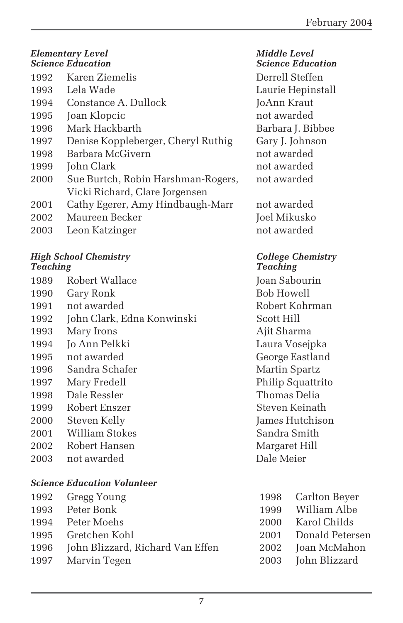| <b>Elementary Level</b><br><b>Science Education</b> |                                    |  |
|-----------------------------------------------------|------------------------------------|--|
| 1992                                                | Karen Ziemelis                     |  |
| 1993                                                | Lela Wade                          |  |
| 1994                                                | Constance A. Dullock               |  |
| 1995                                                | Joan Klopcic                       |  |
| 1996                                                | Mark Hackbarth                     |  |
| 1997                                                | Denise Koppleberger, Cheryl Ruthig |  |
| 1998                                                | Barbara McGivern                   |  |
| 1999                                                | John Clark                         |  |
| 2000                                                | Sue Burtch, Robin Harshman-Rogers, |  |
|                                                     | Vicki Richard, Clare Jorgensen     |  |
| 2001                                                | Cathy Egerer, Amy Hindbaugh-Marr   |  |
| 2002                                                | Maureen Becker                     |  |
| 2003                                                | Leon Katzinger                     |  |

# *High School Chemistry College Chemistry*

| 1989 | Robert Wallace             |
|------|----------------------------|
| 1990 | Gary Ronk                  |
| 1991 | not awarded                |
| 1992 | John Clark, Edna Konwinski |
| 1993 | Mary Irons                 |
| 1994 | Jo Ann Pelkki              |
| 1995 | not awarded                |
| 1996 | Sandra Schafer             |
| 1997 | Mary Fredell               |
| 1998 | Dale Ressler               |
| 1999 | Robert Enszer              |
| 2000 | Steven Kelly               |
| 2001 | William Stokes             |
| 2002 | Robert Hansen              |
| 2003 | not awarded                |
|      |                            |

## *Science Education Volunteer*

|      | 1992 Gregg Young                 | 1998 Carlton Beyer   |
|------|----------------------------------|----------------------|
|      | 1993 Peter Bonk                  | 1999 William Albe    |
|      | 1994 Peter Moehs                 | 2000 Karol Childs    |
|      | 1995 - Gretchen Kohl             | 2001 Donald Petersen |
| 1996 | John Blizzard, Richard Van Effen | 2002 Joan McMahon    |
|      | 1997 Marvin Tegen                | 2003 John Blizzard   |

*Middle Level Science Education Science Education* Derrell Steffen Laurie Hepinstall JoAnn Kraut not awarded Barbara J. Bibbee Gary J. Johnson not awarded not awarded not awarded

not awarded Joel Mikusko not awarded

# *Teaching Teaching*

Joan Sabourin 1990 Gary Ronk Bob Howell Robert Kohrman Scott Hill Ajit Sharma Laura Vosejpka George Eastland Martin Spartz Philip Squattrito Thomas Delia Steven Keinath James Hutchison Sandra Smith Margaret Hill Dale Meier

| 998  | Carlton Beyer   |
|------|-----------------|
| 999  | William Albe    |
| 2000 | Karol Childs    |
| 2001 | Donald Petersen |
| 2002 | Joan McMahon    |
| 2003 | John Blizzard   |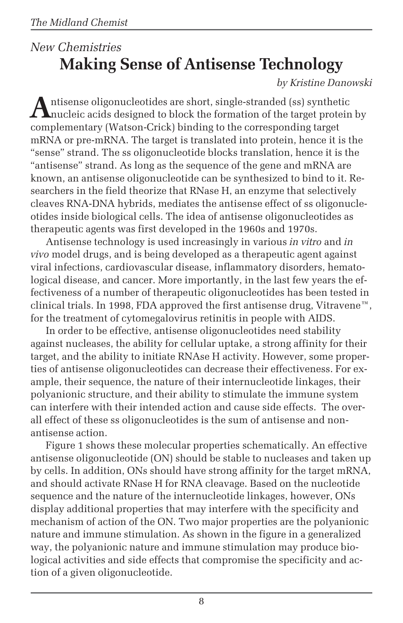# *New Chemistries* **Making Sense of Antisense Technology**

## *by Kristine Danowski*

Antisense oligonucleotides are short, single-stranded (ss) synthetic<br>nucleic acids designed to block the formation of the target protein by complementary (Watson-Crick) binding to the corresponding target mRNA or pre-mRNA. The target is translated into protein, hence it is the "sense" strand. The ss oligonucleotide blocks translation, hence it is the "antisense" strand. As long as the sequence of the gene and mRNA are known, an antisense oligonucleotide can be synthesized to bind to it. Researchers in the field theorize that RNase H, an enzyme that selectively cleaves RNA-DNA hybrids, mediates the antisense effect of ss oligonucleotides inside biological cells. The idea of antisense oligonucleotides as therapeutic agents was first developed in the 1960s and 1970s.

Antisense technology is used increasingly in various *in vitro* and *in vivo* model drugs, and is being developed as a therapeutic agent against viral infections, cardiovascular disease, inflammatory disorders, hematological disease, and cancer. More importantly, in the last few years the effectiveness of a number of therapeutic oligonucleotides has been tested in clinical trials. In 1998, FDA approved the first antisense drug, Vitravene $^{\mathfrak{m}}$ , for the treatment of cytomegalovirus retinitis in people with AIDS.

In order to be effective, antisense oligonucleotides need stability against nucleases, the ability for cellular uptake, a strong affinity for their target, and the ability to initiate RNAse H activity. However, some properties of antisense oligonucleotides can decrease their effectiveness. For example, their sequence, the nature of their internucleotide linkages, their polyanionic structure, and their ability to stimulate the immune system can interfere with their intended action and cause side effects. The overall effect of these ss oligonucleotides is the sum of antisense and nonantisense action.

Figure 1 shows these molecular properties schematically. An effective antisense oligonucleotide (ON) should be stable to nucleases and taken up by cells. In addition, ONs should have strong affinity for the target mRNA, and should activate RNase H for RNA cleavage. Based on the nucleotide sequence and the nature of the internucleotide linkages, however, ONs display additional properties that may interfere with the specificity and mechanism of action of the ON. Two major properties are the polyanionic nature and immune stimulation. As shown in the figure in a generalized way, the polyanionic nature and immune stimulation may produce biological activities and side effects that compromise the specificity and action of a given oligonucleotide.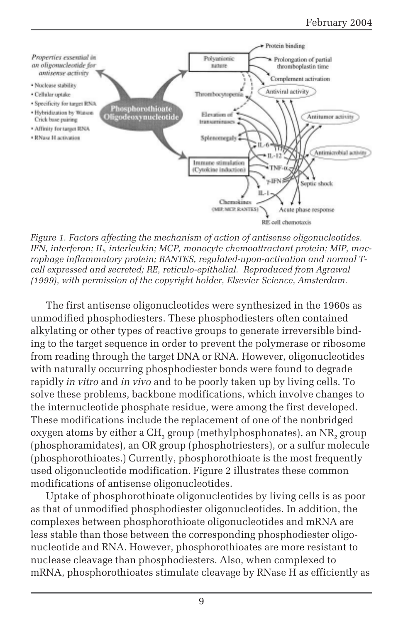

*Figure 1. Factors affecting the mechanism of action of antisense oligonucleotides. IFN, interferon; IL, interleukin; MCP, monocyte chemoattractant protein; MIP, macrophage inflammatory protein; RANTES, regulated-upon-activation and normal Tcell expressed and secreted; RE, reticulo-epithelial. Reproduced from Agrawal (1999), with permission of the copyright holder, Elsevier Science, Amsterdam.*

The first antisense oligonucleotides were synthesized in the 1960s as unmodified phosphodiesters. These phosphodiesters often contained alkylating or other types of reactive groups to generate irreversible binding to the target sequence in order to prevent the polymerase or ribosome from reading through the target DNA or RNA. However, oligonucleotides with naturally occurring phosphodiester bonds were found to degrade rapidly *in vitro* and *in vivo* and to be poorly taken up by living cells. To solve these problems, backbone modifications, which involve changes to the internucleotide phosphate residue, were among the first developed. These modifications include the replacement of one of the nonbridged oxygen atoms by either a CH<sub>2</sub> group (methylphosphonates), an NR<sub>2</sub> group (phosphoramidates), an OR group (phosphotriesters), or a sulfur molecule (phosphorothioates.) Currently, phosphorothioate is the most frequently used oligonucleotide modification. Figure 2 illustrates these common modifications of antisense oligonucleotides.

Uptake of phosphorothioate oligonucleotides by living cells is as poor as that of unmodified phosphodiester oligonucleotides. In addition, the complexes between phosphorothioate oligonucleotides and mRNA are less stable than those between the corresponding phosphodiester oligonucleotide and RNA. However, phosphorothioates are more resistant to nuclease cleavage than phosphodiesters. Also, when complexed to mRNA, phosphorothioates stimulate cleavage by RNase H as efficiently as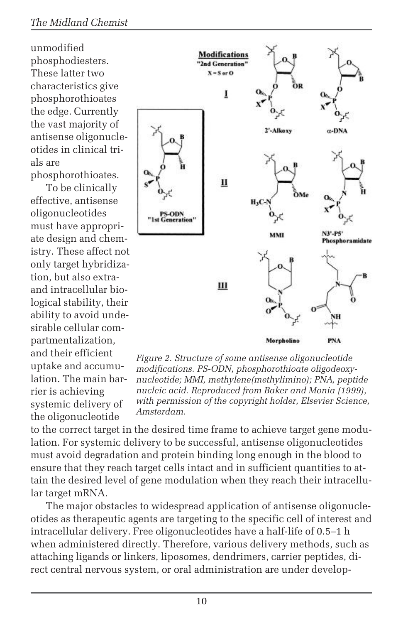unmodified phosphodiesters. These latter two characteristics give phosphorothioates the edge. Currently the vast majority of antisense oligonucleotides in clinical trials are phosphorothioates.

To be clinically effective, antisense oligonucleotides must have appropriate design and chemistry. These affect not only target hybridization, but also extraand intracellular biological stability, their ability to avoid undesirable cellular compartmentalization, and their efficient uptake and accumulation. The main barrier is achieving systemic delivery of the oligonucleotide



*Figure 2. Structure of some antisense oligonucleotide modifications. PS-ODN, phosphorothioate oligodeoxynucleotide; MMI, methylene(methylimino); PNA, peptide nucleic acid. Reproduced from Baker and Monia (1999), with permission of the copyright holder, Elsevier Science, Amsterdam.*

to the correct target in the desired time frame to achieve target gene modulation. For systemic delivery to be successful, antisense oligonucleotides must avoid degradation and protein binding long enough in the blood to ensure that they reach target cells intact and in sufficient quantities to attain the desired level of gene modulation when they reach their intracellular target mRNA.

The major obstacles to widespread application of antisense oligonucleotides as therapeutic agents are targeting to the specific cell of interest and intracellular delivery. Free oligonucleotides have a half-life of 0.5–1 h when administered directly. Therefore, various delivery methods, such as attaching ligands or linkers, liposomes, dendrimers, carrier peptides, direct central nervous system, or oral administration are under develop-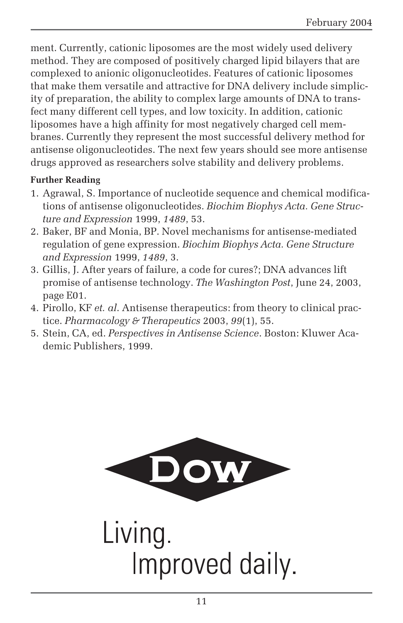ment. Currently, cationic liposomes are the most widely used delivery method. They are composed of positively charged lipid bilayers that are complexed to anionic oligonucleotides. Features of cationic liposomes that make them versatile and attractive for DNA delivery include simplicity of preparation, the ability to complex large amounts of DNA to transfect many different cell types, and low toxicity. In addition, cationic liposomes have a high affinity for most negatively charged cell membranes. Currently they represent the most successful delivery method for antisense oligonucleotides. The next few years should see more antisense drugs approved as researchers solve stability and delivery problems.

#### **Further Reading**

- 1. Agrawal, S. Importance of nucleotide sequence and chemical modifications of antisense oligonucleotides. *Biochim Biophys Acta. Gene Structure and Expression* 1999, *1489*, 53.
- 2. Baker, BF and Monia, BP. Novel mechanisms for antisense-mediated regulation of gene expression. *Biochim Biophys Acta. Gene Structure and Expression* 1999, *1489*, 3.
- 3. Gillis, J. After years of failure, a code for cures?; DNA advances lift promise of antisense technology. *The Washington Post*, June 24, 2003, page E01.
- 4. Pirollo, KF *et. al*. Antisense therapeutics: from theory to clinical practice. *Pharmacology & Therapeutics* 2003, *99*(1), 55.
- 5. Stein, CA, ed. *Perspectives in Antisense Science*. Boston: Kluwer Academic Publishers, 1999.



Living. Improved daily.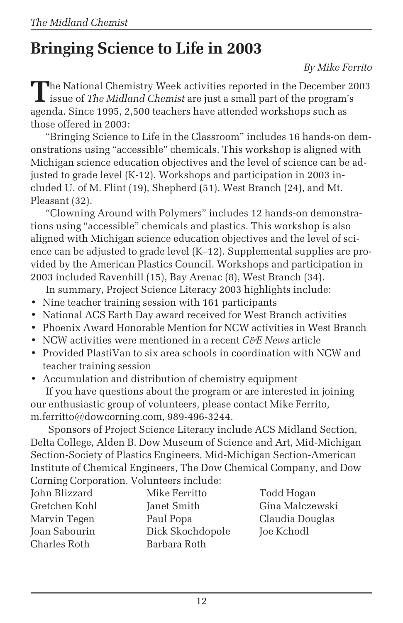# **Bringing Science to Life in 2003**

### *By Mike Ferrito*

**T**he National Chemistry Week activities reported in the December 2003 issue of *The Midland Chemist* are just a small part of the program's agenda. Since 1995, 2,500 teachers have attended workshops such as those offered in 2003:

"Bringing Science to Life in the Classroom" includes 16 hands-on demonstrations using "accessible" chemicals. This workshop is aligned with Michigan science education objectives and the level of science can be adjusted to grade level (K-12). Workshops and participation in 2003 included U. of M. Flint (19), Shepherd (51), West Branch (24), and Mt. Pleasant (32).

"Clowning Around with Polymers" includes 12 hands-on demonstrations using "accessible" chemicals and plastics. This workshop is also aligned with Michigan science education objectives and the level of science can be adjusted to grade level (K–12). Supplemental supplies are provided by the American Plastics Council. Workshops and participation in 2003 included Ravenhill (15), Bay Arenac (8), West Branch (34).

In summary, Project Science Literacy 2003 highlights include:

- Nine teacher training session with 161 participants
- National ACS Earth Day award received for West Branch activities
- Phoenix Award Honorable Mention for NCW activities in West Branch
- NCW activities were mentioned in a recent *C&E News* article
- Provided PlastiVan to six area schools in coordination with NCW and teacher training session
- Accumulation and distribution of chemistry equipment

If you have questions about the program or are interested in joining our enthusiastic group of volunteers, please contact Mike Ferrito, m.ferritto@dowcorning.com, 989-496-3244.

 Sponsors of Project Science Literacy include ACS Midland Section, Delta College, Alden B. Dow Museum of Science and Art, Mid-Michigan Section-Society of Plastics Engineers, Mid-Michigan Section-American Institute of Chemical Engineers, The Dow Chemical Company, and Dow Corning Corporation. Volunteers include:

| John Blizzard | Mike Ferritto    |
|---------------|------------------|
| Gretchen Kohl | Janet Smith      |
| Marvin Tegen  | Paul Popa        |
| Joan Sabourin | Dick Skochdopole |
| Charles Roth  | Barbara Roth     |

Todd Hogan Gina Malczewski Claudia Douglas Joe Kchodl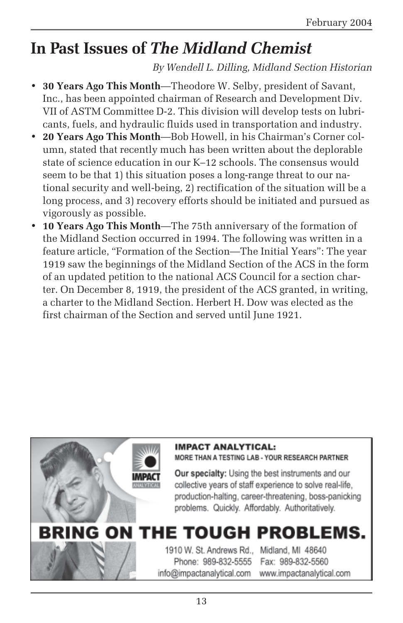# **In Past Issues of** *The Midland Chemist*

*By Wendell L. Dilling, Midland Section Historian*

- **30 Years Ago This Month**—Theodore W. Selby, president of Savant, Inc., has been appointed chairman of Research and Development Div. VII of ASTM Committee D-2. This division will develop tests on lubricants, fuels, and hydraulic fluids used in transportation and industry.
- **20 Years Ago This Month**—Bob Howell, in his Chairman's Corner column, stated that recently much has been written about the deplorable state of science education in our K–12 schools. The consensus would seem to be that 1) this situation poses a long-range threat to our national security and well-being, 2) rectification of the situation will be a long process, and 3) recovery efforts should be initiated and pursued as vigorously as possible.
- **10 Years Ago This Month**—The 75th anniversary of the formation of the Midland Section occurred in 1994. The following was written in a feature article, "Formation of the Section—The Initial Years": The year 1919 saw the beginnings of the Midland Section of the ACS in the form of an updated petition to the national ACS Council for a section charter. On December 8, 1919, the president of the ACS granted, in writing, a charter to the Midland Section. Herbert H. Dow was elected as the first chairman of the Section and served until June 1921.

## **IMPACT ANALYTICAL:**

MORE THAN A TESTING LAB - YOUR RESEARCH PARTNER

Our specialty: Using the best instruments and our collective years of staff experience to solve real-life. production-halting, career-threatening, boss-panicking problems. Quickly. Affordably. Authoritatively.

# **BRING ON THE TOUGH PROBLEMS.**

1910 W. St. Andrews Rd., Midland, MI 48640 Phone: 989-832-5555 Fax: 989-832-5560 info@impactanalytical.com www.impactanalytical.com